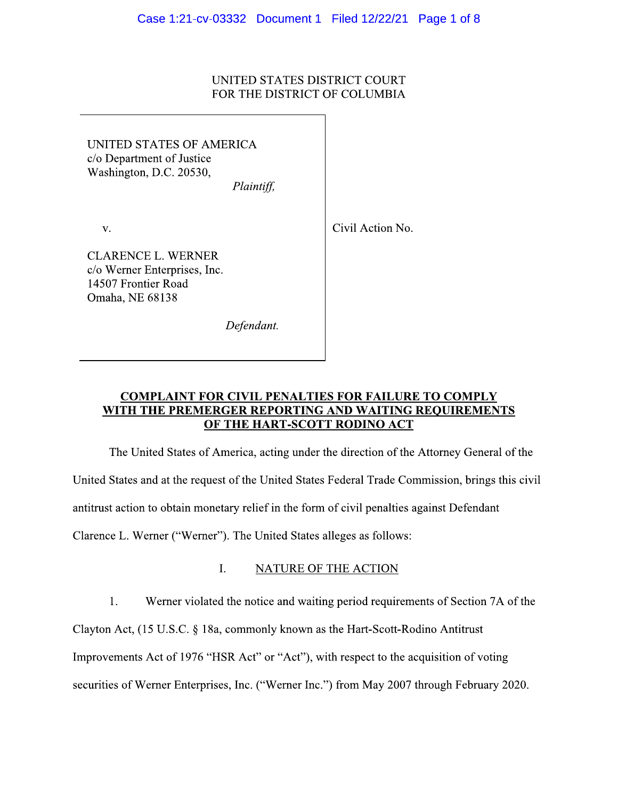## UNITED STATES DISTRICT COURT FOR THE DISTRICT OF COLUMBIA

UNITED STATES OF AMERICA c/o Department of Justice Washington, D.C. 20530,

Plaintiff,

V.

Civil Action No.

**CLARENCE L. WERNER** c/o Werner Enterprises, Inc. 14507 Frontier Road Omaha, NE 68138

Defendant.

# **COMPLAINT FOR CIVIL PENALTIES FOR FAILURE TO COMPLY** WITH THE PREMERGER REPORTING AND WAITING REQUIREMENTS OF THE HART-SCOTT RODINO ACT

The United States of America, acting under the direction of the Attorney General of the United States and at the request of the United States Federal Trade Commission, brings this civil antitrust action to obtain monetary relief in the form of civil penalties against Defendant

Clarence L. Werner ("Werner"). The United States alleges as follows:

### L. NATURE OF THE ACTION

1. Werner violated the notice and waiting period requirements of Section 7A of the

Clayton Act, (15 U.S.C. § 18a, commonly known as the Hart-Scott-Rodino Antitrust

Improvements Act of 1976 "HSR Act" or "Act"), with respect to the acquisition of voting

securities of Werner Enterprises, Inc. ("Werner Inc.") from May 2007 through February 2020.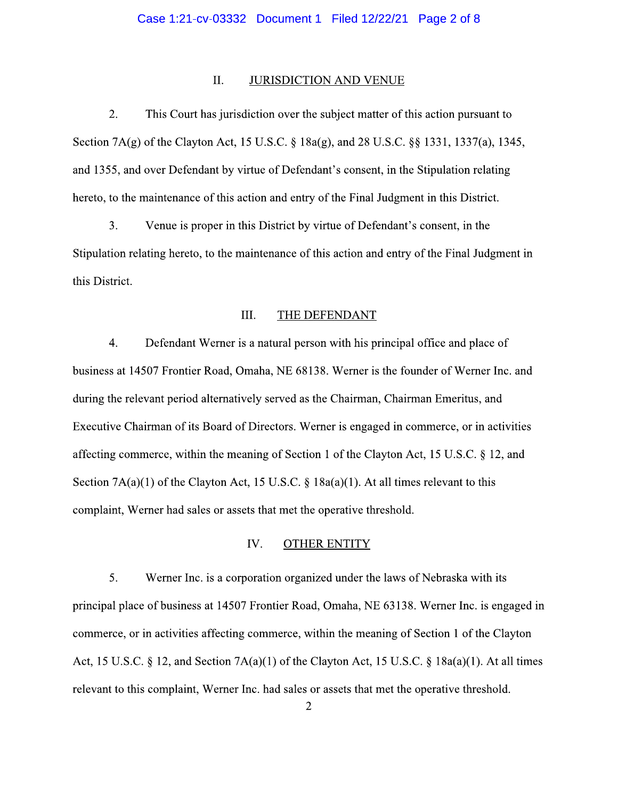#### II. **JURISDICTION AND VENUE**

 $2.$ This Court has jurisdiction over the subject matter of this action pursuant to Section 7A(g) of the Clayton Act, 15 U.S.C. § 18a(g), and 28 U.S.C. § § 1331, 1337(a), 1345, and 1355, and over Defendant by virtue of Defendant's consent, in the Stipulation relating hereto, to the maintenance of this action and entry of the Final Judgment in this District.

 $3.$ Venue is proper in this District by virtue of Defendant's consent, in the Stipulation relating hereto, to the maintenance of this action and entry of the Final Judgment in this District.

#### III. THE DEFENDANT

 $4.$ Defendant Werner is a natural person with his principal office and place of business at 14507 Frontier Road, Omaha, NE 68138. Werner is the founder of Werner Inc. and during the relevant period alternatively served as the Chairman, Chairman Emeritus, and Executive Chairman of its Board of Directors. Werner is engaged in commerce, or in activities affecting commerce, within the meaning of Section 1 of the Clayton Act, 15 U.S.C. § 12, and Section  $7A(a)(1)$  of the Clayton Act, 15 U.S.C. § 18a(a)(1). At all times relevant to this complaint, Werner had sales or assets that met the operative threshold.

### IV. **OTHER ENTITY**

5. Werner Inc. is a corporation organized under the laws of Nebraska with its principal place of business at 14507 Frontier Road, Omaha, NE 63138. Werner Inc. is engaged in commerce, or in activities affecting commerce, within the meaning of Section 1 of the Clayton Act, 15 U.S.C. § 12, and Section  $7A(a)(1)$  of the Clayton Act, 15 U.S.C. § 18 $a(a)(1)$ . At all times relevant to this complaint, Werner Inc. had sales or assets that met the operative threshold.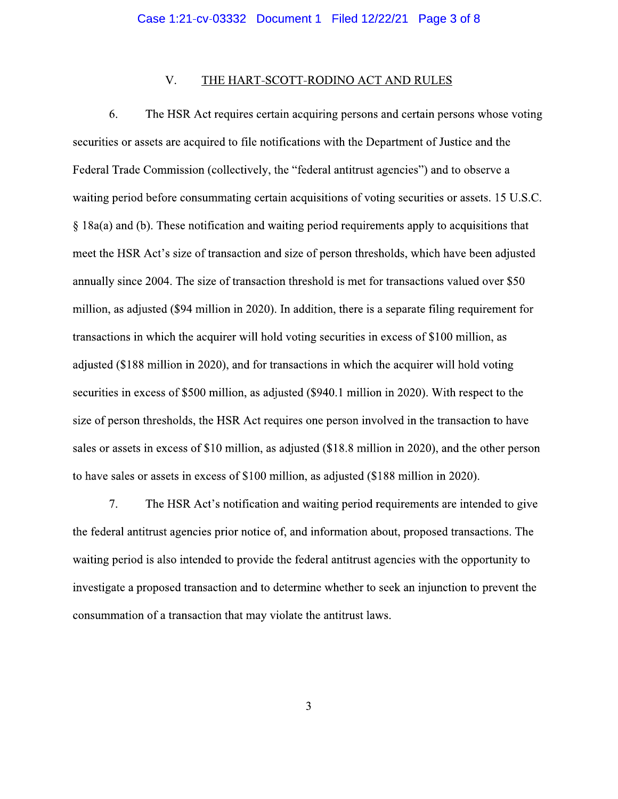### V. THE HART-SCOTT-RODINO ACT AND RULES

6. The HSR Act requires certain acquiring persons and certain persons whose voting securities or assets are acquired to file notifications with the Department of Justice and the Federal Trade Commission (collectively, the "federal antitrust agencies") and to observe a waiting period before consummating certain acquisitions of voting securities or assets. 15 U.S.C.  $\S$  18a(a) and (b). These notification and waiting period requirements apply to acquisitions that meet the HSR Act's size of transaction and size of person thresholds, which have been adjusted annually since 2004. The size of transaction threshold is met for transactions valued over \$50 million, as adjusted (\$94 million in 2020). In addition, there is a separate filing requirement for transactions in which the acquirer will hold voting securities in excess of \$100 million, as adjusted (\$188 million in 2020), and for transactions in which the acquirer will hold voting securities in excess of \$500 million, as adjusted (\$940.1 million in 2020). With respect to the size of person thresholds, the HSR Act requires one person involved in the transaction to have sales or assets in excess of \$10 million, as adjusted (\$18.8 million in 2020), and the other person to have sales or assets in excess of \$100 million, as adjusted (\$188 million in 2020).

 $7.$ The HSR Act's notification and waiting period requirements are intended to give the federal antitrust agencies prior notice of, and information about, proposed transactions. The waiting period is also intended to provide the federal antitrust agencies with the opportunity to investigate a proposed transaction and to determine whether to seek an injunction to prevent the consummation of a transaction that may violate the antitrust laws.

 $\overline{3}$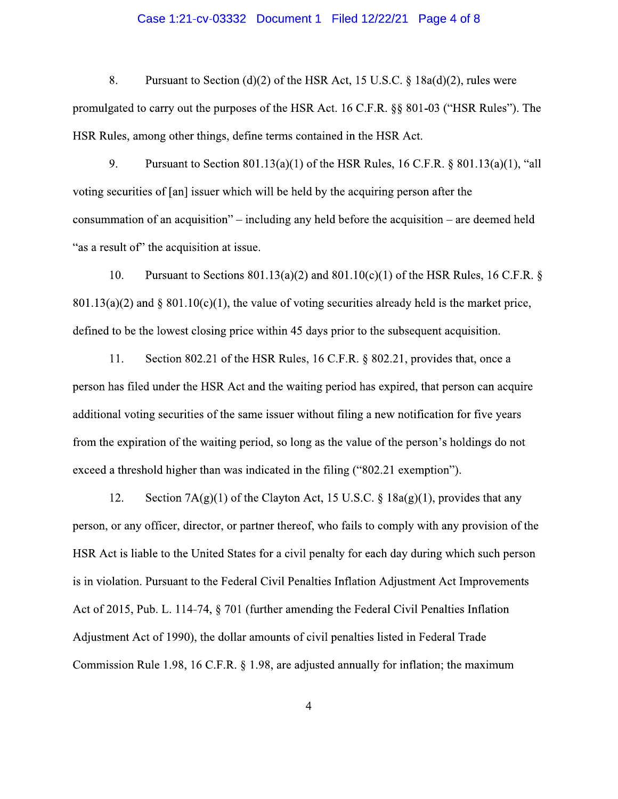### Case 1:21-cv-03332 Document 1 Filed 12/22/21 Page 4 of 8

8. Pursuant to Section (d)(2) of the HSR Act, 15 U.S.C.  $\S$  18a(d)(2), rules were promulgated to carry out the purposes of the HSR Act. 16 C.F.R. §§ 801-03 ("HSR Rules"). The HSR Rules, among other things, define terms contained in the HSR Act.

9. Pursuant to Section 801.13(a)(1) of the HSR Rules, 16 C.F.R.  $\S$  801.13(a)(1), "all voting securities of [an] issuer which will be held by the acquiring person after the consummation of an acquisition" – including any held before the acquisition – are deemed held "as a result of" the acquisition at issue.

Pursuant to Sections  $801.13(a)(2)$  and  $801.10(c)(1)$  of the HSR Rules, 16 C.F.R. § 10.  $801.13(a)(2)$  and §  $801.10(c)(1)$ , the value of voting securities already held is the market price, defined to be the lowest closing price within 45 days prior to the subsequent acquisition.

11. Section 802.21 of the HSR Rules, 16 C.F.R. § 802.21, provides that, once a person has filed under the HSR Act and the waiting period has expired, that person can acquire additional voting securities of the same issuer without filing a new notification for five years from the expiration of the waiting period, so long as the value of the person's holdings do not exceed a threshold higher than was indicated in the filing ("802.21 exemption").

12. Section  $7A(g)(1)$  of the Clayton Act, 15 U.S.C. § 18a(g)(1), provides that any person, or any officer, director, or partner thereof, who fails to comply with any provision of the HSR Act is liable to the United States for a civil penalty for each day during which such person is in violation. Pursuant to the Federal Civil Penalties Inflation Adjustment Act Improvements Act of 2015, Pub. L. 114-74, § 701 (further amending the Federal Civil Penalties Inflation Adjustment Act of 1990), the dollar amounts of civil penalties listed in Federal Trade Commission Rule 1.98, 16 C.F.R. § 1.98, are adjusted annually for inflation; the maximum

 $\overline{4}$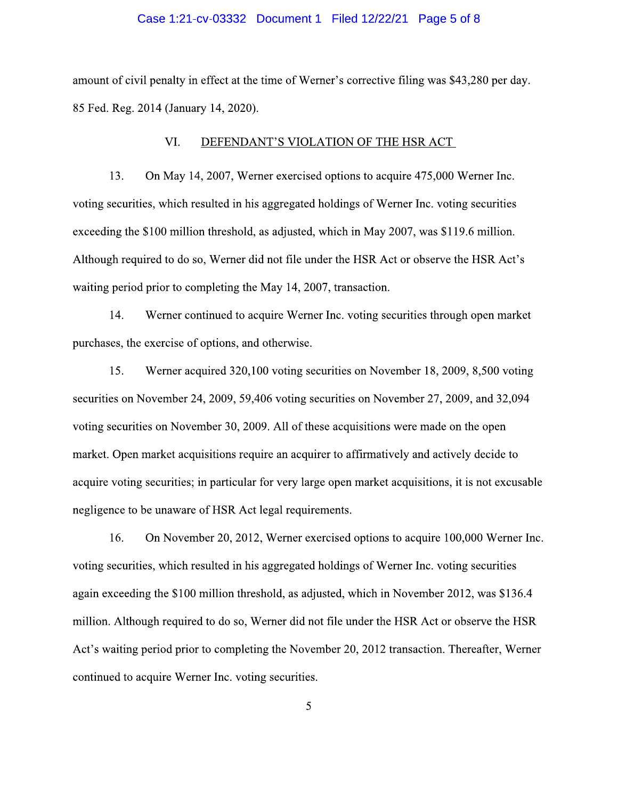## Case 1:21-cv-03332 Document 1 Filed 12/22/21 Page 5 of 8

amount of civil penalty in effect at the time of Werner's corrective filing was \$43,280 per day. 85 Fed. Reg. 2014 (January 14, 2020).

#### VI. DEFENDANT'S VIOLATION OF THE HSR ACT

13. On May 14, 2007, Werner exercised options to acquire 475,000 Werner Inc. voting securities, which resulted in his aggregated holdings of Werner Inc. voting securities exceeding the \$100 million threshold, as adjusted, which in May 2007, was \$119.6 million. Although required to do so, Werner did not file under the HSR Act or observe the HSR Act's waiting period prior to completing the May 14, 2007, transaction.

Werner continued to acquire Werner Inc. voting securities through open market 14. purchases, the exercise of options, and otherwise.

15. Werner acquired 320,100 voting securities on November 18, 2009, 8,500 voting securities on November 24, 2009, 59,406 voting securities on November 27, 2009, and 32,094 voting securities on November 30, 2009. All of these acquisitions were made on the open market. Open market acquisitions require an acquirer to affirmatively and actively decide to acquire voting securities; in particular for very large open market acquisitions, it is not excusable negligence to be unaware of HSR Act legal requirements.

16. On November 20, 2012, Werner exercised options to acquire 100,000 Werner Inc. voting securities, which resulted in his aggregated holdings of Werner Inc. voting securities again exceeding the \$100 million threshold, as adjusted, which in November 2012, was \$136.4 million. Although required to do so, Werner did not file under the HSR Act or observe the HSR Act's waiting period prior to completing the November 20, 2012 transaction. Thereafter, Werner continued to acquire Werner Inc. voting securities.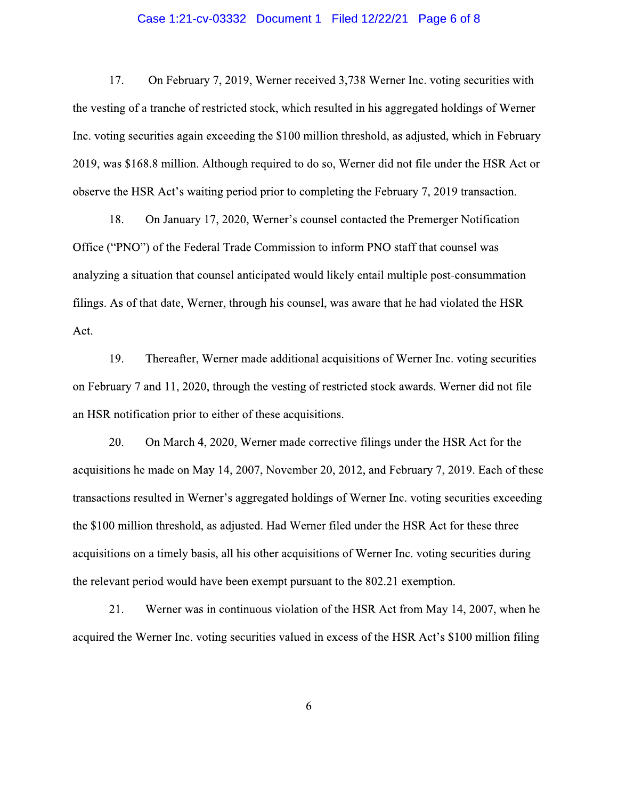## Case 1:21-cv-03332 Document 1 Filed 12/22/21 Page 6 of 8

17. On February 7, 2019, Werner received 3,738 Werner Inc. voting securities with the vesting of a tranche of restricted stock, which resulted in his aggregated holdings of Werner Inc. voting securities again exceeding the \$100 million threshold, as adjusted, which in February 2019, was \$168.8 million. Although required to do so, Werner did not file under the HSR Act or observe the HSR Act's waiting period prior to completing the February 7, 2019 transaction.

On January 17, 2020, Werner's counsel contacted the Premerger Notification 18. Office ("PNO") of the Federal Trade Commission to inform PNO staff that counsel was analyzing a situation that counsel anticipated would likely entail multiple post-consummation filings. As of that date, Werner, through his counsel, was aware that he had violated the HSR Act.

19. Thereafter, Werner made additional acquisitions of Werner Inc. voting securities on February 7 and 11, 2020, through the vesting of restricted stock awards. Werner did not file an HSR notification prior to either of these acquisitions.

20. On March 4, 2020, Werner made corrective filings under the HSR Act for the acquisitions he made on May 14, 2007, November 20, 2012, and February 7, 2019. Each of these transactions resulted in Werner's aggregated holdings of Werner Inc. voting securities exceeding the \$100 million threshold, as adjusted. Had Werner filed under the HSR Act for these three acquisitions on a timely basis, all his other acquisitions of Werner Inc. voting securities during the relevant period would have been exempt pursuant to the 802.21 exemption.

21. Werner was in continuous violation of the HSR Act from May 14, 2007, when he acquired the Werner Inc. voting securities valued in excess of the HSR Act's \$100 million filing

6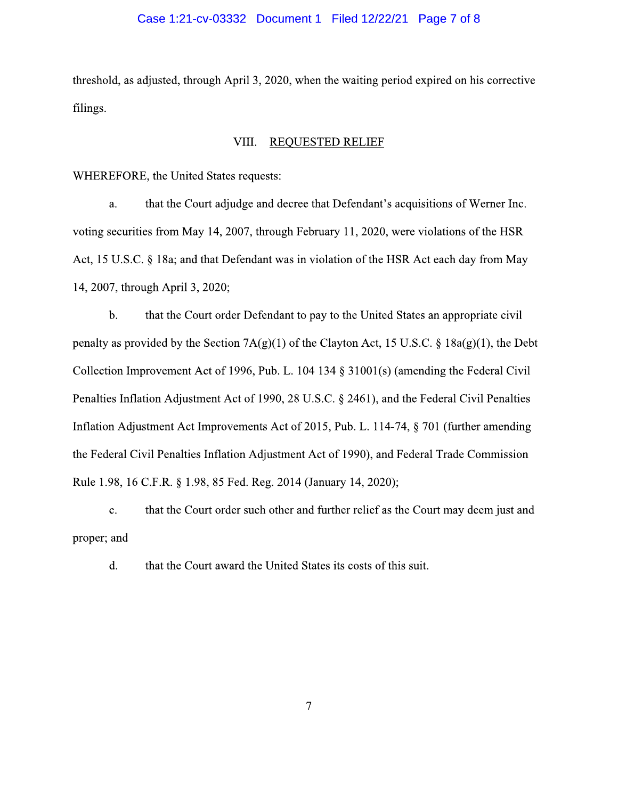### Case 1:21-cv-03332 Document 1 Filed 12/22/21 Page 7 of 8

threshold, as adjusted, through April 3, 2020, when the waiting period expired on his corrective filings.

#### VIII. **REQUESTED RELIEF**

WHEREFORE, the United States requests:

that the Court adjudge and decree that Defendant's acquisitions of Werner Inc. a. voting securities from May 14, 2007, through February 11, 2020, were violations of the HSR Act, 15 U.S.C. § 18a; and that Defendant was in violation of the HSR Act each day from May 14, 2007, through April 3, 2020;

that the Court order Defendant to pay to the United States an appropriate civil  $\mathbf{b}$ . penalty as provided by the Section  $7A(g)(1)$  of the Clayton Act, 15 U.S.C. § 18a(g)(1), the Debt Collection Improvement Act of 1996, Pub. L. 104 134 § 31001(s) (amending the Federal Civil Penalties Inflation Adjustment Act of 1990, 28 U.S.C. § 2461), and the Federal Civil Penalties Inflation Adjustment Act Improvements Act of 2015, Pub. L. 114-74, § 701 (further amending the Federal Civil Penalties Inflation Adjustment Act of 1990), and Federal Trade Commission Rule 1.98, 16 C.F.R. § 1.98, 85 Fed. Reg. 2014 (January 14, 2020);

 $\mathbf{c}$ . that the Court order such other and further relief as the Court may deem just and proper; and

d. that the Court award the United States its costs of this suit.

 $\overline{7}$